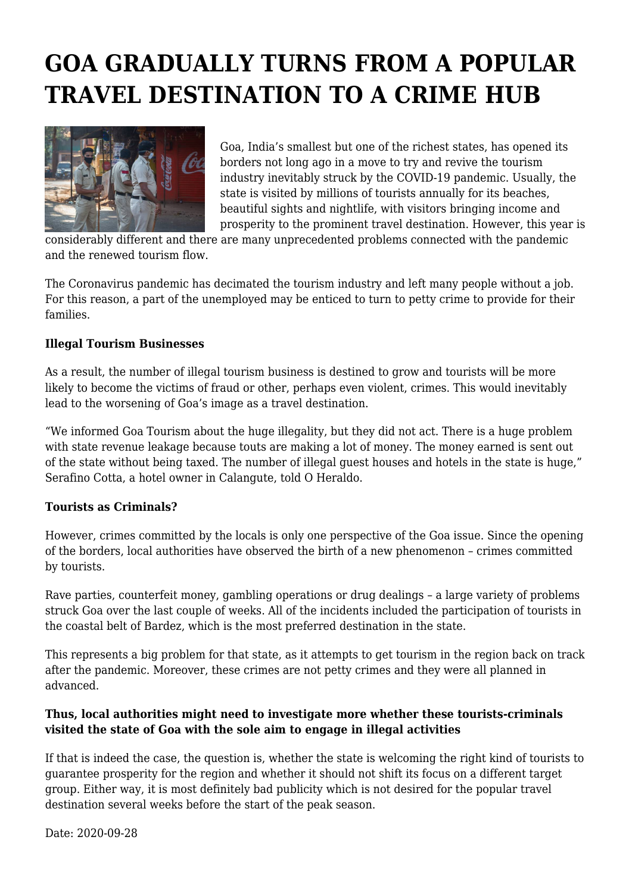## **GOA GRADUALLY TURNS FROM A POPULAR TRAVEL DESTINATION TO A CRIME HUB**



Goa, India's smallest but one of the richest states, has opened its borders not long ago in a move to try and revive the tourism industry inevitably struck by the COVID-19 pandemic. Usually, the state is visited by millions of tourists annually for its beaches, beautiful sights and nightlife, with visitors bringing income and prosperity to the prominent travel destination. However, this year is

considerably different and there are many unprecedented problems connected with the pandemic and the renewed tourism flow.

The Coronavirus pandemic has decimated the tourism industry and left many people without a job. For this reason, a part of the unemployed may be enticed to turn to petty crime to provide for their families.

## **Illegal Tourism Businesses**

As a result, the number of illegal tourism business is destined to grow and tourists will be more likely to become the victims of fraud or other, perhaps even violent, crimes. This would inevitably lead to the worsening of Goa's image as a travel destination.

"We informed Goa Tourism about the huge illegality, but they did not act. There is a huge problem with state revenue leakage because touts are making a lot of money. The money earned is sent out of the state without being taxed. The number of illegal guest houses and hotels in the state is huge," Serafino Cotta, a hotel owner in Calangute, told O Heraldo.

## **Tourists as Criminals?**

However, crimes committed by the locals is only one perspective of the Goa issue. Since the opening of the borders, local authorities have observed the birth of a new phenomenon – crimes committed by tourists.

Rave parties, counterfeit money, gambling operations or drug dealings – a large variety of problems struck Goa over the last couple of weeks. All of the incidents included the participation of tourists in the coastal belt of Bardez, which is the most preferred destination in the state.

This represents a big problem for that state, as it attempts to get tourism in the region back on track after the pandemic. Moreover, these crimes are not petty crimes and they were all planned in advanced.

## **Thus, local authorities might need to investigate more whether these tourists-criminals visited the state of Goa with the sole aim to engage in illegal activities**

If that is indeed the case, the question is, whether the state is welcoming the right kind of tourists to guarantee prosperity for the region and whether it should not shift its focus on a different target group. Either way, it is most definitely bad publicity which is not desired for the popular travel destination several weeks before the start of the peak season.

Date: 2020-09-28